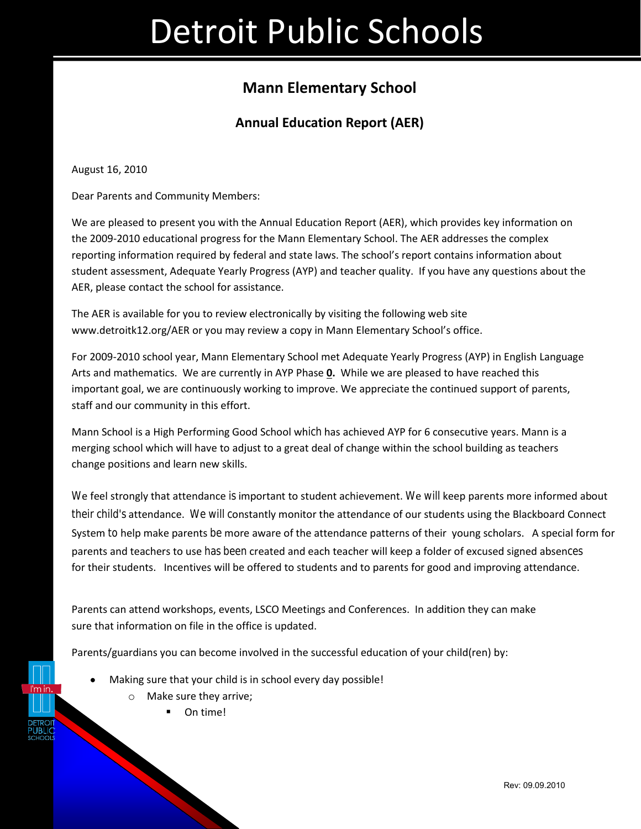## **Mann Elementary School**

### **Annual Education Report (AER)**

August 16, 2010

Dear Parents and Community Members:

We are pleased to present you with the Annual Education Report (AER), which provides key information on the 2009-2010 educational progress for the Mann Elementary School. The AER addresses the complex reporting information required by federal and state laws. The school's report contains information about student assessment, Adequate Yearly Progress (AYP) and teacher quality. If you have any questions about the AER, please contact the school for assistance.

The AER is available for you to review electronically by visiting the following web site www.detroitk12.org/AER or you may review a copy in Mann Elementary School's office.

For 2009-2010 school year, Mann Elementary School met Adequate Yearly Progress (AYP) in English Language Arts and mathematics. We are currently in AYP Phase **0.** While we are pleased to have reached this important goal, we are continuously working to improve. We appreciate the continued support of parents, staff and our community in this effort.

Mann School is a High Performing Good School which has achieved AYP for 6 consecutive years. Mann is a merging school which will have to adjust to a great deal of change within the school building as teachers change positions and learn new skills.

We feel strongly that attendance is important to student achievement. We will keep parents more informed about their child's attendance. We will constantly monitor the attendance of our students using the Blackboard Connect System to help make parents be more aware of the attendance patterns of their young scholars. A special form for parents and teachers to use has been created and each teacher will keep a folder of excused signed absences for their students. Incentives will be offered to students and to parents for good and improving attendance.

Parents can attend workshops, events, LSCO Meetings and Conferences. In addition they can make sure that information on file in the office is updated.

Parents/guardians you can become involved in the successful education of your child(ren) by:

- Making sure that your child is in school every day possible!
	- o Make sure they arrive;

On time!

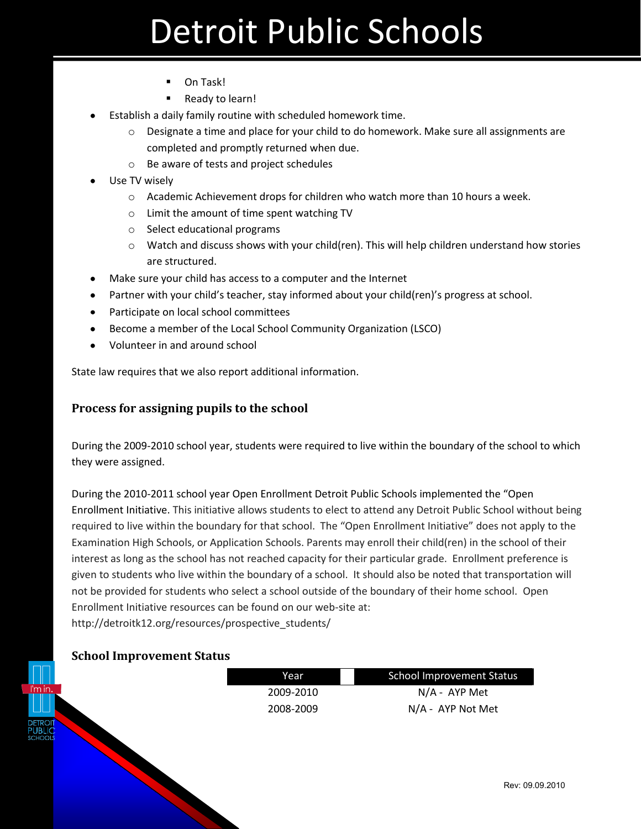- On Task!
- Ready to learn!
- Establish a daily family routine with scheduled homework time.
	- $\circ$  Designate a time and place for your child to do homework. Make sure all assignments are completed and promptly returned when due.
	- o Be aware of tests and project schedules
- Use TV wisely
	- $\circ$  Academic Achievement drops for children who watch more than 10 hours a week.
	- o Limit the amount of time spent watching TV
	- o Select educational programs
	- $\circ$  Watch and discuss shows with your child(ren). This will help children understand how stories are structured.
- Make sure your child has access to a computer and the Internet
- Partner with your child's teacher, stay informed about your child(ren)'s progress at school.
- Participate on local school committees
- Become a member of the Local School Community Organization (LSCO)
- Volunteer in and around school

State law requires that we also report additional information.

#### **Process for assigning pupils to the school**

During the 2009-2010 school year, students were required to live within the boundary of the school to which they were assigned.

During the 2010-2011 school year Open Enrollment Detroit Public Schools implemented the "Open Enrollment Initiative. This initiative allows students to elect to attend any Detroit Public School without being required to live within the boundary for that school. The "Open Enrollment Initiative" does not apply to the Examination High Schools, or Application Schools. Parents may enroll their child(ren) in the school of their interest as long as the school has not reached capacity for their particular grade. Enrollment preference is given to students who live within the boundary of a school. It should also be noted that transportation will not be provided for students who select a school outside of the boundary of their home school. Open Enrollment Initiative resources can be found on our web-site at: http://detroitk12.org/resources/prospective\_students/

#### **School Improvement Status**

|                | Year      | <b>School Improvement Status</b> |
|----------------|-----------|----------------------------------|
| n.             | 2009-2010 | N/A - AYP Met                    |
|                | 2008-2009 | N/A - AYP Not Met                |
| $\frac{1}{10}$ |           | <b>Rev: 09</b>                   |
|                |           |                                  |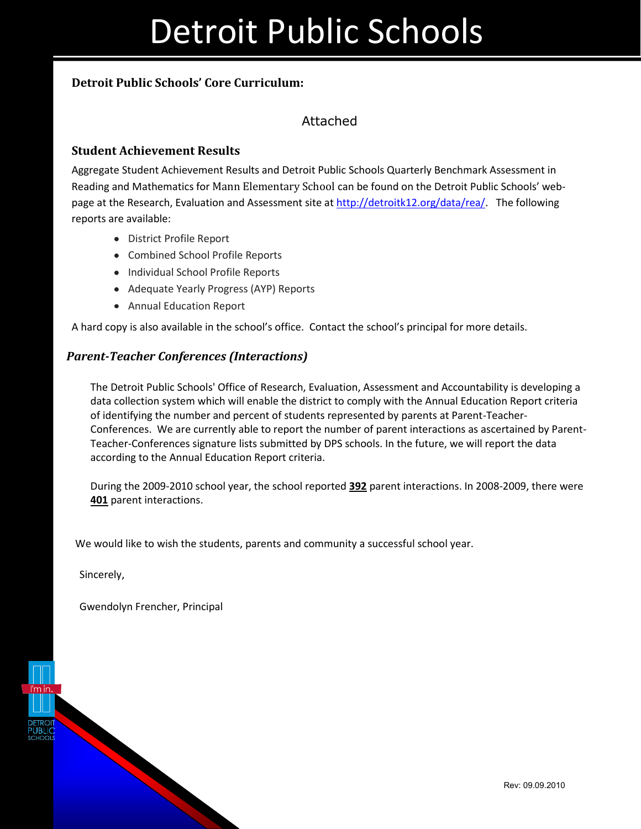### **Detroit Public Schools' Core Curriculum:**

### Attached

### **Student Achievement Results**

Aggregate Student Achievement Results and Detroit Public Schools Quarterly Benchmark Assessment in Reading and Mathematics for Mann Elementary School can be found on the Detroit Public Schools' webpage at the Research, Evaluation and Assessment site at [http://detroitk12.org/data/rea/.](http://detroitk12.org/data/rea/) The following reports are available:

- District Profile Report
- Combined School Profile Reports
- Individual School Profile Reports
- Adequate Yearly Progress (AYP) Reports
- Annual Education Report

A hard copy is also available in the school's office. Contact the school's principal for more details.

#### *Parent-Teacher Conferences (Interactions)*

The Detroit Public Schools' Office of Research, Evaluation, Assessment and Accountability is developing a data collection system which will enable the district to comply with the Annual Education Report criteria of identifying the number and percent of students represented by parents at Parent-Teacher-Conferences. We are currently able to report the number of parent interactions as ascertained by Parent-Teacher-Conferences signature lists submitted by DPS schools. In the future, we will report the data according to the Annual Education Report criteria.

During the 2009-2010 school year, the school reported **392** parent interactions. In 2008-2009, there were **401** parent interactions.

We would like to wish the students, parents and community a successful school year.

Sincerely,

Gwendolyn Frencher, Principal

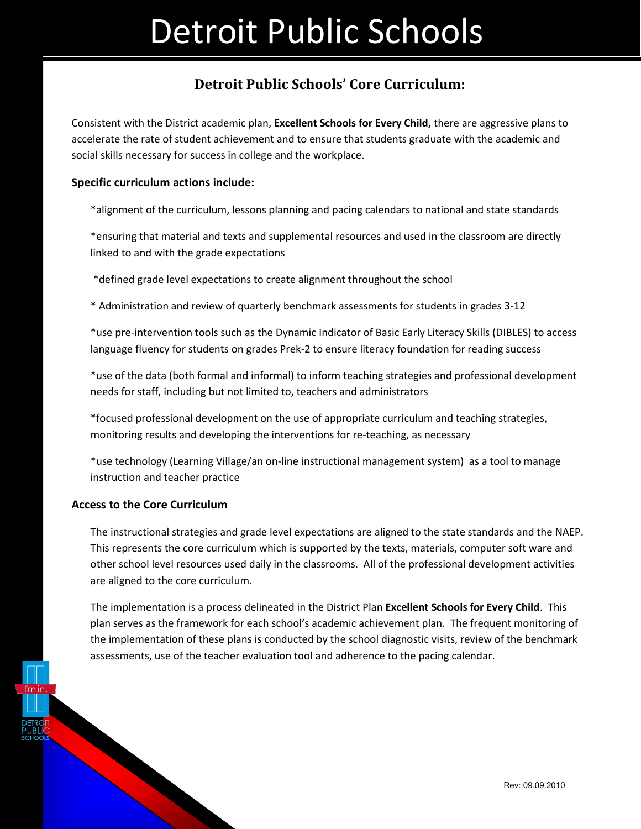## **Detroit Public Schools' Core Curriculum:**

Consistent with the District academic plan, **Excellent Schools for Every Child,** there are aggressive plans to accelerate the rate of student achievement and to ensure that students graduate with the academic and social skills necessary for success in college and the workplace.

### **Specific curriculum actions include:**

\*alignment of the curriculum, lessons planning and pacing calendars to national and state standards

\*ensuring that material and texts and supplemental resources and used in the classroom are directly linked to and with the grade expectations

\*defined grade level expectations to create alignment throughout the school

\* Administration and review of quarterly benchmark assessments for students in grades 3-12

\*use pre-intervention tools such as the Dynamic Indicator of Basic Early Literacy Skills (DIBLES) to access language fluency for students on grades Prek-2 to ensure literacy foundation for reading success

\*use of the data (both formal and informal) to inform teaching strategies and professional development needs for staff, including but not limited to, teachers and administrators

\*focused professional development on the use of appropriate curriculum and teaching strategies, monitoring results and developing the interventions for re-teaching, as necessary

\*use technology (Learning Village/an on-line instructional management system) as a tool to manage instruction and teacher practice

### **Access to the Core Curriculum**

The instructional strategies and grade level expectations are aligned to the state standards and the NAEP. This represents the core curriculum which is supported by the texts, materials, computer soft ware and other school level resources used daily in the classrooms. All of the professional development activities are aligned to the core curriculum.

The implementation is a process delineated in the District Plan **Excellent Schools for Every Child**. This plan serves as the framework for each school's academic achievement plan. The frequent monitoring of the implementation of these plans is conducted by the school diagnostic visits, review of the benchmark assessments, use of the teacher evaluation tool and adherence to the pacing calendar.